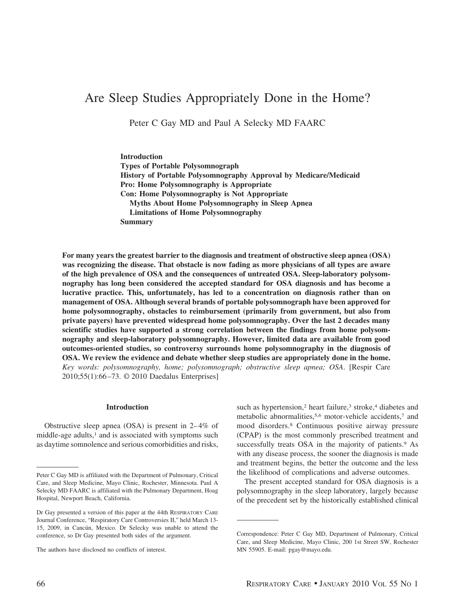# Are Sleep Studies Appropriately Done in the Home?

Peter C Gay MD and Paul A Selecky MD FAARC

**Introduction Types of Portable Polysomnograph History of Portable Polysomnography Approval by Medicare/Medicaid Pro: Home Polysomnography is Appropriate Con: Home Polysomnography is Not Appropriate Myths About Home Polysomnography in Sleep Apnea Limitations of Home Polysomnography Summary**

**For many years the greatest barrier to the diagnosis and treatment of obstructive sleep apnea (OSA) was recognizing the disease. That obstacle is now fading as more physicians of all types are aware of the high prevalence of OSA and the consequences of untreated OSA. Sleep-laboratory polysomnography has long been considered the accepted standard for OSA diagnosis and has become a lucrative practice. This, unfortunately, has led to a concentration on diagnosis rather than on management of OSA. Although several brands of portable polysomnograph have been approved for home polysomnography, obstacles to reimbursement (primarily from government, but also from private payers) have prevented widespread home polysomnography. Over the last 2 decades many scientific studies have supported a strong correlation between the findings from home polysomnography and sleep-laboratory polysomnography. However, limited data are available from good outcomes-oriented studies, so controversy surrounds home polysomnography in the diagnosis of OSA. We review the evidence and debate whether sleep studies are appropriately done in the home.** *Key words: polysomnography, home; polysomnograph; obstructive sleep apnea; OSA*. [Respir Care 2010;55(1):66 –73. © 2010 Daedalus Enterprises]

### **Introduction**

Obstructive sleep apnea (OSA) is present in  $2-4\%$  of middle-age adults,<sup>1</sup> and is associated with symptoms such as daytime somnolence and serious comorbidities and risks, such as hypertension,<sup>2</sup> heart failure,<sup>3</sup> stroke,<sup>4</sup> diabetes and metabolic abnormalities,5,6 motor-vehicle accidents,7 and mood disorders.8 Continuous positive airway pressure (CPAP) is the most commonly prescribed treatment and successfully treats OSA in the majority of patients.<sup>9</sup> As with any disease process, the sooner the diagnosis is made and treatment begins, the better the outcome and the less the likelihood of complications and adverse outcomes.

The present accepted standard for OSA diagnosis is a polysomnography in the sleep laboratory, largely because of the precedent set by the historically established clinical

Peter C Gay MD is affiliated with the Department of Pulmonary, Critical Care, and Sleep Medicine, Mayo Clinic, Rochester, Minnesota. Paul A Selecky MD FAARC is affiliated with the Pulmonary Department, Hoag Hospital, Newport Beach, California.

Dr Gay presented a version of this paper at the 44th RESPIRATORY CARE Journal Conference, "Respiratory Care Controversies II," held March 13- 15, 2009, in Cancún, Mexico. Dr Selecky was unable to attend the conference, so Dr Gay presented both sides of the argument.

The authors have disclosed no conflicts of interest.

Correspondence: Peter C Gay MD, Department of Pulmonary, Critical Care, and Sleep Medicine, Mayo Clinic, 200 1st Street SW, Rochester MN 55905. E-mail: pgay@mayo.edu.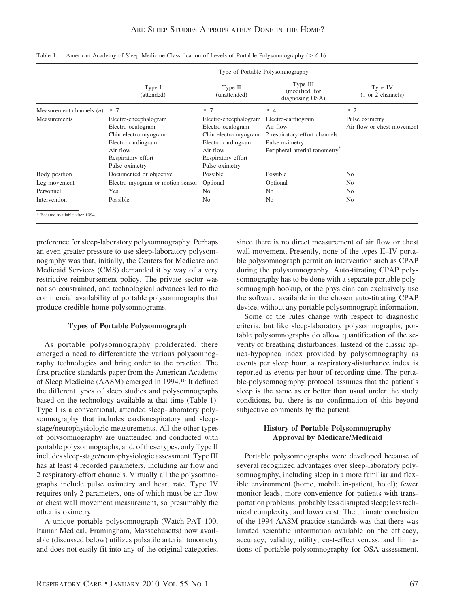|                                | Type of Portable Polysomnography |                         |                                               |                                                 |  |
|--------------------------------|----------------------------------|-------------------------|-----------------------------------------------|-------------------------------------------------|--|
|                                | Type I<br>(attended)             | Type II<br>(unattended) | Type III<br>(modified, for<br>diagnosing OSA) | Type IV<br>$(1 \text{ or } 2 \text{ channels})$ |  |
| Measurement channels $(n)$     | $\geq 7$                         | $\geq 7$                | $\geq 4$                                      | $\leq 2$                                        |  |
| Measurements                   | Electro-encephalogram            | Electro-encephalogram   | Electro-cardiogram                            | Pulse oximetry                                  |  |
|                                | Electro-oculogram                | Electro-oculogram       | Air flow                                      | Air flow or chest movement                      |  |
|                                | Chin electro-myogram             | Chin electro-myogram    | 2 respiratory-effort channels                 |                                                 |  |
|                                | Electro-cardiogram               | Electro-cardiogram      | Pulse oximetry                                |                                                 |  |
|                                | Air flow                         | Air flow                | Peripheral arterial tonometry <sup>®</sup>    |                                                 |  |
|                                | Respiratory effort               | Respiratory effort      |                                               |                                                 |  |
|                                | Pulse oximetry                   | Pulse oximetry          |                                               |                                                 |  |
| Body position                  | Documented or objective          | Possible                | Possible                                      | No.                                             |  |
| Leg movement                   | Electro-myogram or motion sensor | Optional                | Optional                                      | N <sub>o</sub>                                  |  |
| Personnel                      | Yes                              | No.                     | N <sub>o</sub>                                | No.                                             |  |
| Intervention                   | Possible                         | N <sub>0</sub>          | N <sub>o</sub>                                | N <sub>o</sub>                                  |  |
| * Became available after 1994. |                                  |                         |                                               |                                                 |  |

| Table 1. | American Academy of Sleep Medicine Classification of Levels of Portable Polysomnography $(> 6 h)$ |  |  |  |  |
|----------|---------------------------------------------------------------------------------------------------|--|--|--|--|
|          |                                                                                                   |  |  |  |  |

preference for sleep-laboratory polysomnography. Perhaps an even greater pressure to use sleep-laboratory polysomnography was that, initially, the Centers for Medicare and Medicaid Services (CMS) demanded it by way of a very restrictive reimbursement policy. The private sector was not so constrained, and technological advances led to the commercial availability of portable polysomnographs that produce credible home polysomnograms.

### **Types of Portable Polysomnograph**

As portable polysomnography proliferated, there emerged a need to differentiate the various polysomnography technologies and bring order to the practice. The first practice standards paper from the American Academy of Sleep Medicine (AASM) emerged in 1994.10 It defined the different types of sleep studies and polysomnographs based on the technology available at that time (Table 1). Type I is a conventional, attended sleep-laboratory polysomnography that includes cardiorespiratory and sleepstage/neurophysiologic measurements. All the other types of polysomnography are unattended and conducted with portable polysomnographs, and, of these types, only Type II includes sleep-stage/neurophysiologic assessment. Type III has at least 4 recorded parameters, including air flow and 2 respiratory-effort channels. Virtually all the polysomnographs include pulse oximetry and heart rate. Type IV requires only 2 parameters, one of which must be air flow or chest wall movement measurement, so presumably the other is oximetry.

A unique portable polysomnograph (Watch-PAT 100, Itamar Medical, Framingham, Massachusetts) now available (discussed below) utilizes pulsatile arterial tonometry and does not easily fit into any of the original categories, since there is no direct measurement of air flow or chest wall movement. Presently, none of the types II–IV portable polysomnograph permit an intervention such as CPAP during the polysomnography. Auto-titrating CPAP polysomnography has to be done with a separate portable polysomnograph hookup, or the physician can exclusively use the software available in the chosen auto-titrating CPAP device, without any portable polysomnograph information.

Some of the rules change with respect to diagnostic criteria, but like sleep-laboratory polysomnographs, portable polysomnographs do allow quantification of the severity of breathing disturbances. Instead of the classic apnea-hypopnea index provided by polysomnography as events per sleep hour, a respiratory-disturbance index is reported as events per hour of recording time. The portable-polysomnography protocol assumes that the patient's sleep is the same as or better than usual under the study conditions, but there is no confirmation of this beyond subjective comments by the patient.

# **History of Portable Polysomnography Approval by Medicare/Medicaid**

Portable polysomnographs were developed because of several recognized advantages over sleep-laboratory polysomnography, including sleep in a more familiar and flexible environment (home, mobile in-patient, hotel); fewer monitor leads; more convenience for patients with transportation problems; probably less disrupted sleep; less technical complexity; and lower cost. The ultimate conclusion of the 1994 AASM practice standards was that there was limited scientific information available on the efficacy, accuracy, validity, utility, cost-effectiveness, and limitations of portable polysomnography for OSA assessment.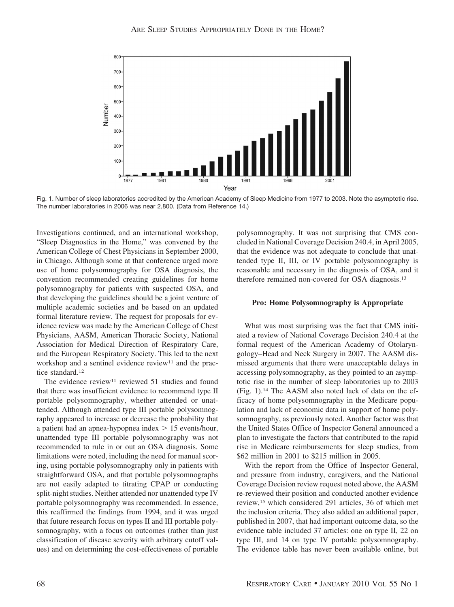

Fig. 1. Number of sleep laboratories accredited by the American Academy of Sleep Medicine from 1977 to 2003. Note the asymptotic rise. The number laboratories in 2006 was near 2,800. (Data from Reference 14.)

Investigations continued, and an international workshop, "Sleep Diagnostics in the Home," was convened by the American College of Chest Physicians in September 2000, in Chicago. Although some at that conference urged more use of home polysomnography for OSA diagnosis, the convention recommended creating guidelines for home polysomnography for patients with suspected OSA, and that developing the guidelines should be a joint venture of multiple academic societies and be based on an updated formal literature review. The request for proposals for evidence review was made by the American College of Chest Physicians, AASM, American Thoracic Society, National Association for Medical Direction of Respiratory Care, and the European Respiratory Society. This led to the next workshop and a sentinel evidence  $revi$  and the practice standard.12

The evidence review<sup>11</sup> reviewed 51 studies and found that there was insufficient evidence to recommend type II portable polysomnography, whether attended or unattended. Although attended type III portable polysomnography appeared to increase or decrease the probability that a patient had an apnea-hypopnea index  $> 15$  events/hour, unattended type III portable polysomnography was not recommended to rule in or out an OSA diagnosis. Some limitations were noted, including the need for manual scoring, using portable polysomnography only in patients with straightforward OSA, and that portable polysomnographs are not easily adapted to titrating CPAP or conducting split-night studies. Neither attended nor unattended type IV portable polysomnography was recommended. In essence, this reaffirmed the findings from 1994, and it was urged that future research focus on types II and III portable polysomnography, with a focus on outcomes (rather than just classification of disease severity with arbitrary cutoff values) and on determining the cost-effectiveness of portable polysomnography. It was not surprising that CMS concluded in National Coverage Decision 240.4, in April 2005, that the evidence was not adequate to conclude that unattended type II, III, or IV portable polysomnography is reasonable and necessary in the diagnosis of OSA, and it therefore remained non-covered for OSA diagnosis.13

### **Pro: Home Polysomnography is Appropriate**

What was most surprising was the fact that CMS initiated a review of National Coverage Decision 240.4 at the formal request of the American Academy of Otolaryngology–Head and Neck Surgery in 2007. The AASM dismissed arguments that there were unacceptable delays in accessing polysomnography, as they pointed to an asymptotic rise in the number of sleep laboratories up to 2003 (Fig. 1).14 The AASM also noted lack of data on the efficacy of home polysomnography in the Medicare population and lack of economic data in support of home polysomnography, as previously noted. Another factor was that the United States Office of Inspector General announced a plan to investigate the factors that contributed to the rapid rise in Medicare reimbursements for sleep studies, from \$62 million in 2001 to \$215 million in 2005.

With the report from the Office of Inspector General, and pressure from industry, caregivers, and the National Coverage Decision review request noted above, the AASM re-reviewed their position and conducted another evidence review,15 which considered 291 articles, 36 of which met the inclusion criteria. They also added an additional paper, published in 2007, that had important outcome data, so the evidence table included 37 articles: one on type II, 22 on type III, and 14 on type IV portable polysomnography. The evidence table has never been available online, but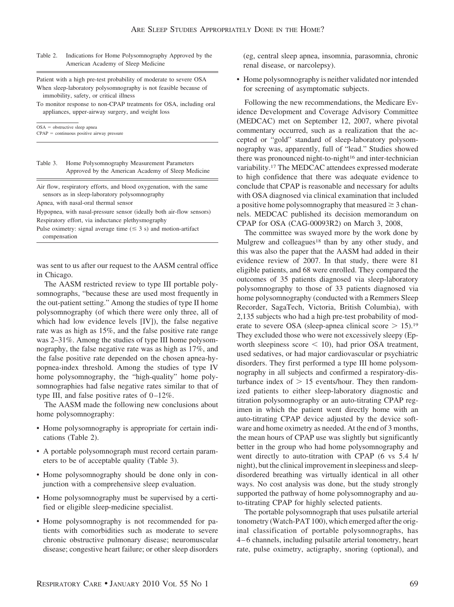| Table 2. | Indications for Home Polysomnography Approved by the |
|----------|------------------------------------------------------|
|          | American Academy of Sleep Medicine                   |

Patient with a high pre-test probability of moderate to severe OSA When sleep-laboratory polysomnography is not feasible because of immobility, safety, or critical illness

To monitor response to non-CPAP treatments for OSA, including oral appliances, upper-airway surgery, and weight loss

 $OSA =$  obstructive sleep apnea

 $CPAP =$  continuous positive airway pressure

Table 3. Home Polysomnography Measurement Parameters Approved by the American Academy of Sleep Medicine

Air flow, respiratory efforts, and blood oxygenation, with the same sensors as in sleep-laboratory polysomnography

Apnea, with nasal-oral thermal sensor

Hypopnea, with nasal-pressure sensor (ideally both air-flow sensors) Respiratory effort, via inductance plethysmography

Pulse oximetry: signal average time  $(\leq 3 \text{ s})$  and motion-artifact compensation

was sent to us after our request to the AASM central office in Chicago.

The AASM restricted review to type III portable polysomnographs, "because these are used most frequently in the out-patient setting." Among the studies of type II home polysomnography (of which there were only three, all of which had low evidence levels [IV]), the false negative rate was as high as 15%, and the false positive rate range was 2–31%. Among the studies of type III home polysomnography, the false negative rate was as high as 17%, and the false positive rate depended on the chosen apnea-hypopnea-index threshold. Among the studies of type IV home polysomnography, the "high-quality" home polysomnographies had false negative rates similar to that of type III, and false positive rates of  $0-12\%$ .

The AASM made the following new conclusions about home polysomnography:

- Home polysomnography is appropriate for certain indications (Table 2).
- A portable polysomnograph must record certain parameters to be of acceptable quality (Table 3).
- Home polysomnography should be done only in conjunction with a comprehensive sleep evaluation.
- Home polysomnography must be supervised by a certified or eligible sleep-medicine specialist.
- Home polysomnography is not recommended for patients with comorbidities such as moderate to severe chronic obstructive pulmonary disease; neuromuscular disease; congestive heart failure; or other sleep disorders

(eg, central sleep apnea, insomnia, parasomnia, chronic renal disease, or narcolepsy).

• Home polysomnography is neither validated nor intended for screening of asymptomatic subjects.

Following the new recommendations, the Medicare Evidence Development and Coverage Advisory Committee (MEDCAC) met on September 12, 2007, where pivotal commentary occurred, such as a realization that the accepted or "gold" standard of sleep-laboratory polysomnography was, apparently, full of "lead." Studies showed there was pronounced night-to-night<sup>16</sup> and inter-technician variability.17 The MEDCAC attendees expressed moderate to high confidence that there was adequate evidence to conclude that CPAP is reasonable and necessary for adults with OSA diagnosed via clinical examination that included a positive home polysomnography that measured  $\geq 3$  channels. MEDCAC published its decision memorandum on CPAP for OSA (CAG-00093R2) on March 3, 2008,

The committee was swayed more by the work done by Mulgrew and colleagues<sup>18</sup> than by any other study, and this was also the paper that the AASM had added in their evidence review of 2007. In that study, there were 81 eligible patients, and 68 were enrolled. They compared the outcomes of 35 patients diagnosed via sleep-laboratory polysomnography to those of 33 patients diagnosed via home polysomnography (conducted with a Remmers Sleep Recorder, SagaTech, Victoria, British Columbia), with 2,135 subjects who had a high pre-test probability of moderate to severe OSA (sleep-apnea clinical score  $> 15$ ).<sup>19</sup> They excluded those who were not excessively sleepy (Epworth sleepiness score  $\leq$  10), had prior OSA treatment, used sedatives, or had major cardiovascular or psychiatric disorders. They first performed a type III home polysomnography in all subjects and confirmed a respiratory-disturbance index of  $> 15$  events/hour. They then randomized patients to either sleep-laboratory diagnostic and titration polysomnography or an auto-titrating CPAP regimen in which the patient went directly home with an auto-titrating CPAP device adjusted by the device software and home oximetry as needed. At the end of 3 months, the mean hours of CPAP use was slightly but significantly better in the group who had home polysomnography and went directly to auto-titration with CPAP (6 vs 5.4 h/ night), but the clinical improvement in sleepiness and sleepdisordered breathing was virtually identical in all other ways. No cost analysis was done, but the study strongly supported the pathway of home polysomnography and auto-titrating CPAP for highly selected patients.

The portable polysomnograph that uses pulsatile arterial tonometry (Watch-PAT 100), which emerged after the original classification of portable polysomnographs, has 4 – 6 channels, including pulsatile arterial tonometry, heart rate, pulse oximetry, actigraphy, snoring (optional), and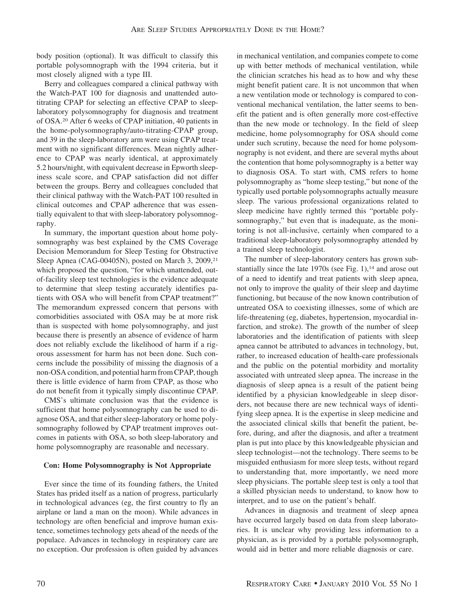body position (optional). It was difficult to classify this portable polysomnograph with the 1994 criteria, but it most closely aligned with a type III.

Berry and colleagues compared a clinical pathway with the Watch-PAT 100 for diagnosis and unattended autotitrating CPAP for selecting an effective CPAP to sleeplaboratory polysomnography for diagnosis and treatment of OSA.20 After 6 weeks of CPAP initiation, 40 patients in the home-polysomnography/auto-titrating-CPAP group, and 39 in the sleep-laboratory arm were using CPAP treatment with no significant differences. Mean nightly adherence to CPAP was nearly identical, at approximately 5.2 hours/night, with equivalent decrease in Epworth sleepiness scale score, and CPAP satisfaction did not differ between the groups. Berry and colleagues concluded that their clinical pathway with the Watch-PAT 100 resulted in clinical outcomes and CPAP adherence that was essentially equivalent to that with sleep-laboratory polysomnography.

In summary, the important question about home polysomnography was best explained by the CMS Coverage Decision Memorandum for Sleep Testing for Obstructive Sleep Apnea (CAG-00405N), posted on March 3, 2009,<sup>21</sup> which proposed the question, "for which unattended, outof-facility sleep test technologies is the evidence adequate to determine that sleep testing accurately identifies patients with OSA who will benefit from CPAP treatment?" The memorandum expressed concern that persons with comorbidities associated with OSA may be at more risk than is suspected with home polysomnography, and just because there is presently an absence of evidence of harm does not reliably exclude the likelihood of harm if a rigorous assessment for harm has not been done. Such concerns include the possibility of missing the diagnosis of a non-OSA condition, and potential harm from CPAP, though there is little evidence of harm from CPAP, as those who do not benefit from it typically simply discontinue CPAP.

CMS's ultimate conclusion was that the evidence is sufficient that home polysomnography can be used to diagnose OSA, and that either sleep-laboratory or home polysomnography followed by CPAP treatment improves outcomes in patients with OSA, so both sleep-laboratory and home polysomnography are reasonable and necessary.

### **Con: Home Polysomnography is Not Appropriate**

Ever since the time of its founding fathers, the United States has prided itself as a nation of progress, particularly in technological advances (eg, the first country to fly an airplane or land a man on the moon). While advances in technology are often beneficial and improve human existence, sometimes technology gets ahead of the needs of the populace. Advances in technology in respiratory care are no exception. Our profession is often guided by advances in mechanical ventilation, and companies compete to come up with better methods of mechanical ventilation, while the clinician scratches his head as to how and why these might benefit patient care. It is not uncommon that when a new ventilation mode or technology is compared to conventional mechanical ventilation, the latter seems to benefit the patient and is often generally more cost-effective than the new mode or technology. In the field of sleep medicine, home polysomnography for OSA should come under such scrutiny, because the need for home polysomnography is not evident, and there are several myths about the contention that home polysomnography is a better way to diagnosis OSA. To start with, CMS refers to home polysomnography as "home sleep testing," but none of the typically used portable polysomnographs actually measure sleep. The various professional organizations related to sleep medicine have rightly termed this "portable polysomnography," but even that is inadequate, as the monitoring is not all-inclusive, certainly when compared to a traditional sleep-laboratory polysomnography attended by a trained sleep technologist.

The number of sleep-laboratory centers has grown substantially since the late  $1970s$  (see Fig. 1),<sup>14</sup> and arose out of a need to identify and treat patients with sleep apnea, not only to improve the quality of their sleep and daytime functioning, but because of the now known contribution of untreated OSA to coexisting illnesses, some of which are life-threatening (eg, diabetes, hypertension, myocardial infarction, and stroke). The growth of the number of sleep laboratories and the identification of patients with sleep apnea cannot be attributed to advances in technology, but, rather, to increased education of health-care professionals and the public on the potential morbidity and mortality associated with untreated sleep apnea. The increase in the diagnosis of sleep apnea is a result of the patient being identified by a physician knowledgeable in sleep disorders, not because there are new technical ways of identifying sleep apnea. It is the expertise in sleep medicine and the associated clinical skills that benefit the patient, before, during, and after the diagnosis, and after a treatment plan is put into place by this knowledgeable physician and sleep technologist—not the technology. There seems to be misguided enthusiasm for more sleep tests, without regard to understanding that, more importantly, we need more sleep physicians. The portable sleep test is only a tool that a skilled physician needs to understand, to know how to interpret, and to use on the patient's behalf.

Advances in diagnosis and treatment of sleep apnea have occurred largely based on data from sleep laboratories. It is unclear why providing less information to a physician, as is provided by a portable polysomnograph, would aid in better and more reliable diagnosis or care.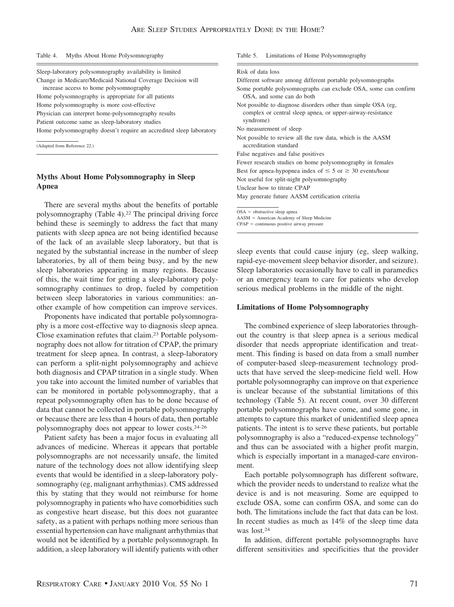#### Table 4. Myths About Home Polysomnography

Sleep-laboratory polysomnography availability is limited Change in Medicare/Medicaid National Coverage Decision will increase access to home polysomnography Home polysomnography is appropriate for all patients

Home polysomnography is more cost-effective

Physician can interpret home-polysomnography results

Patient outcome same as sleep-laboratory studies

Home polysomnography doesn't require an accredited sleep laboratory

(Adapted from Reference 22.)

# **Myths About Home Polysomnography in Sleep Apnea**

There are several myths about the benefits of portable polysomnography (Table 4).22 The principal driving force behind these is seemingly to address the fact that many patients with sleep apnea are not being identified because of the lack of an available sleep laboratory, but that is negated by the substantial increase in the number of sleep laboratories, by all of them being busy, and by the new sleep laboratories appearing in many regions. Because of this, the wait time for getting a sleep-laboratory polysomnography continues to drop, fueled by competition between sleep laboratories in various communities: another example of how competition can improve services.

Proponents have indicated that portable polysomnography is a more cost-effective way to diagnosis sleep apnea. Close examination refutes that claim.23 Portable polysomnography does not allow for titration of CPAP, the primary treatment for sleep apnea. In contrast, a sleep-laboratory can perform a split-night polysomnography and achieve both diagnosis and CPAP titration in a single study. When you take into account the limited number of variables that can be monitored in portable polysomnography, that a repeat polysomnography often has to be done because of data that cannot be collected in portable polysomnography or because there are less than 4 hours of data, then portable polysomnography does not appear to lower costs.24-26

Patient safety has been a major focus in evaluating all advances of medicine. Whereas it appears that portable polysomnographs are not necessarily unsafe, the limited nature of the technology does not allow identifying sleep events that would be identified in a sleep-laboratory polysomnography (eg, malignant arrhythmias). CMS addressed this by stating that they would not reimburse for home polysomnography in patients who have comorbidities such as congestive heart disease, but this does not guarantee safety, as a patient with perhaps nothing more serious than essential hypertension can have malignant arrhythmias that would not be identified by a portable polysomnograph. In addition, a sleep laboratory will identify patients with other

### Table 5. Limitations of Home Polysomnography

#### Risk of data loss

| Different software among different portable polysomnographs                                                                              |
|------------------------------------------------------------------------------------------------------------------------------------------|
| Some portable polysomnographs can exclude OSA, some can confirm<br>OSA, and some can do both                                             |
| Not possible to diagnose disorders other than simple OSA (eg,<br>complex or central sleep apnea, or upper-airway-resistance<br>syndrome) |
| No measurement of sleep                                                                                                                  |
| Not possible to review all the raw data, which is the AASM<br>accreditation standard                                                     |
| False negatives and false positives                                                                                                      |
| Fewer research studies on home polysom nography in females                                                                               |
| Best for appea-hypopnea index of $\leq 5$ or $\geq 30$ events/hour                                                                       |
| Not useful for split-night polysomnography                                                                                               |
| Unclear how to titrate CPAP                                                                                                              |
| May generate future AASM certification criteria                                                                                          |
| $OSA =$ obstructive sleep apnea<br>$AASM = American Academy of Sleep Medicine$                                                           |

 $CPAP =$  continuous positive airway pressure

sleep events that could cause injury (eg, sleep walking, rapid-eye-movement sleep behavior disorder, and seizure). Sleep laboratories occasionally have to call in paramedics or an emergency team to care for patients who develop serious medical problems in the middle of the night.

### **Limitations of Home Polysomnography**

The combined experience of sleep laboratories throughout the country is that sleep apnea is a serious medical disorder that needs appropriate identification and treatment. This finding is based on data from a small number of computer-based sleep-measurement technology products that have served the sleep-medicine field well. How portable polysomnography can improve on that experience is unclear because of the substantial limitations of this technology (Table 5). At recent count, over 30 different portable polysomnographs have come, and some gone, in attempts to capture this market of unidentified sleep apnea patients. The intent is to serve these patients, but portable polysomnography is also a "reduced-expense technology" and thus can be associated with a higher profit margin, which is especially important in a managed-care environment.

Each portable polysomnograph has different software, which the provider needs to understand to realize what the device is and is not measuring. Some are equipped to exclude OSA, some can confirm OSA, and some can do both. The limitations include the fact that data can be lost. In recent studies as much as 14% of the sleep time data was lost.24

In addition, different portable polysomnographs have different sensitivities and specificities that the provider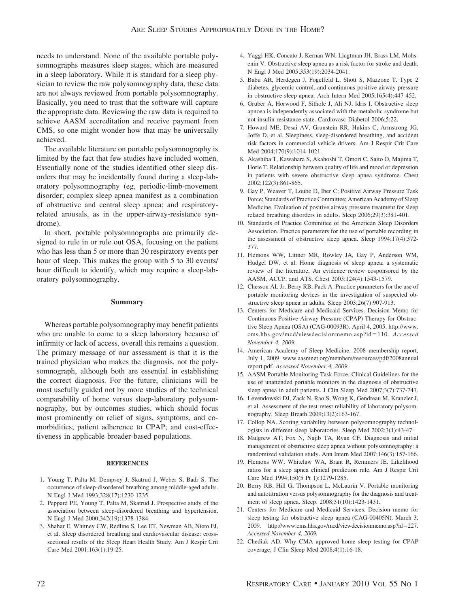needs to understand. None of the available portable polysomnographs measures sleep stages, which are measured in a sleep laboratory. While it is standard for a sleep physician to review the raw polysomnography data, these data are not always reviewed from portable polysomnography. Basically, you need to trust that the software will capture the appropriate data. Reviewing the raw data is required to achieve AASM accreditation and receive payment from CMS, so one might wonder how that may be universally achieved.

The available literature on portable polysomnography is limited by the fact that few studies have included women. Essentially none of the studies identified other sleep disorders that may be incidentally found during a sleep-laboratory polysomnography (eg, periodic-limb-movement disorder; complex sleep apnea manifest as a combination of obstructive and central sleep apnea; and respiratoryrelated arousals, as in the upper-airway-resistance syndrome).

In short, portable polysomnographs are primarily designed to rule in or rule out OSA, focusing on the patient who has less than 5 or more than 30 respiratory events per hour of sleep. This makes the group with 5 to 30 events/ hour difficult to identify, which may require a sleep-laboratory polysomnography.

### **Summary**

Whereas portable polysomnography may benefit patients who are unable to come to a sleep laboratory because of infirmity or lack of access, overall this remains a question. The primary message of our assessment is that it is the trained physician who makes the diagnosis, not the polysomnograph, although both are essential in establishing the correct diagnosis. For the future, clinicians will be most usefully guided not by more studies of the technical comparability of home versus sleep-laboratory polysomnography, but by outcomes studies, which should focus most prominently on relief of signs, symptoms, and comorbidities; patient adherence to CPAP; and cost-effectiveness in applicable broader-based populations.

#### **REFERENCES**

- 1. Young T, Palta M, Dempsey J, Skatrud J, Weber S, Badr S. The occurrence of sleep-disordered breathing among middle-aged adults. N Engl J Med 1993;328(17):1230-1235.
- 2. Peppard PE, Young T, Palta M, Skatrud J. Prospective study of the association between sleep-disordered breathing and hypertension. N Engl J Med 2000;342(19):1378-1384.
- 3. Shahar E, Whitney CW, Redline S, Lee ET, Newman AB, Nieto FJ, et al. Sleep disordered breathing and cardiovascular disease: crosssectional results of the Sleep Heart Health Study. Am J Respir Crit Care Med 2001;163(1):19-25.
- 4. Yaggi HK, Concato J, Kernan WN, Licgtman JH, Brass LM, Mohsenin V. Obstructive sleep apnea as a risk factor for stroke and death. N Engl J Med 2005;353(19):2034-2041.
- 5. Babu AR, Herdegen J, Fogelfeld L, Shott S, Mazzone T. Type 2 diabetes, glycemic control, and continuous positive airway pressure in obstructive sleep apnea. Arch Intern Med 2005;165(4):447-452.
- 6. Gruber A, Horwood F, Sithole J, Ali NJ, Idris I. Obstructive sleep apnoea is independently associated with the metabolic syndrome but not insulin resistance state. Cardiovasc Diabetol 2006;5:22.
- 7. Howard ME, Desai AV, Grunstein RR, Hukins C, Armstrong JG, Joffe D, et al. Sleepiness, sleep-disordered breathing, and accident risk factors in commercial vehicle drivers. Am J Respir Crit Care Med 2004;170(9):1014-1021.
- 8. Akashiba T, Kawahara S, Akahoshi T, Omori C, Saito O, Majima T, Horie T. Relationship between quality of life and mood or depression in patients with severe obstructive sleep apnea syndrome. Chest 2002;122(3):861-865.
- 9. Gay P, Weaver T, Loube D, Iber C; Positive Airway Pressure Task Force; Standards of Practice Committee; American Academy of Sleep Medicine. Evaluation of positive airway pressure treatment for sleep related breathing disorders in adults. Sleep 2006;29(3):381-401.
- 10. Standards of Practice Committee of the American Sleep Disorders Association. Practice parameters for the use of portable recording in the assessment of obstructive sleep apnea. Sleep 1994;17(4):372- 377.
- 11. Flemons WW, Littner MR, Rowley JA, Gay P, Anderson WM, Hudgel DW, et al. Home diagnosis of sleep apnea: a systematic review of the literature. An evidence review cosponsored by the AASM, ACCP, and ATS. Chest 2003;124(4):1543-1579.
- 12. Chesson AL Jr, Berry RB, Pack A. Practice parameters for the use of portable monitoring devices in the investigation of suspected obstructive sleep apnea in adults. Sleep 2003;26(7):907-913.
- 13. Centers for Medicare and Medicaid Services. Decision Memo for Continuous Positive Airway Pressure (CPAP) Therapy for Obstructive Sleep Apnea (OSA) (CAG-00093R). April 4, 2005. http://www. cms.hhs.gov/mcd/viewdecisionmemo.asp?id=110. *Accessed November 4, 2009.*
- 14. American Academy of Sleep Medicine. 2008 membership report, July 1, 2009. www.aasmnet.org/members/resources/pdf/2008annual report.pdf. *Accessed November 4, 2009.*
- 15. AASM Portable Monitoring Task Force. Clinical Guidelines for the use of unattended portable monitors in the diagnosis of obstructive sleep apnea in adult patients. J Clin Sleep Med 2007;3(7):737-747.
- 16. Levendowski DJ, Zack N, Rao S, Wong K, Gendreau M, Kranzler J, et al. Assessment of the test*-*retest reliability of laboratory polysomnography. Sleep Breath 2009;13(2):163-167.
- 17. Collop NA. Scoring variability between polysomnography technologists in different sleep laboratories. Sleep Med 2002;3(1):43-47.
- 18. Mulgrew AT, Fox N, Najib TA, Ryan CF. Diagnosis and initial management of obstructive sleep apnea without polysomnography: a randomized validation study. Ann Intern Med 2007;146(3):157-166.
- 19. Flemons WW, Whitelaw WA, Brant R, Remmers JE. Likelihood ratios for a sleep apnea clinical prediction rule. Am J Respir Crit Care Med 1994;150(5 Pt 1):1279-1285.
- 20. Berry RB, Hill G, Thompson L, McLaurin V. Portable monitoring and autotitration versus polysomnography for the diagnosis and treatment of sleep apnea. Sleep. 2008;31(10):1423-1431.
- 21. Centers for Medicare and Medicaid Services. Decision memo for sleep testing for obstructive sleep apnea (CAG-00405N). March 3, 2009. http://www.cms.hhs.gov/mcd/viewdecisionmemo.asp?id=227. *Accessed November 4, 2009.*
- 22. Chediak AD. Why CMA approved home sleep testing for CPAP coverage. J Clin Sleep Med 2008;4(1):16-18.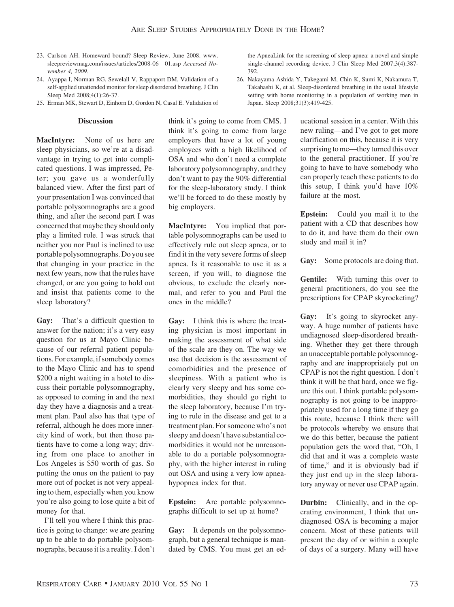- 23. Carlson AH. Homeward bound? Sleep Review. June 2008. www. sleepreviewmag.com/issues/articles/2008-06 01.asp *Accessed November 4, 2009.*
- 24. Ayappa I, Norman RG, Sewelall V, Rappaport DM. Validation of a self-applied unattended monitor for sleep disordered breathing. J Clin Sleep Med 2008;4(1):26-37.
- 25. Erman MK, Stewart D, Einhorn D, Gordon N, Casal E. Validation of

### **Discussion**

**MacIntyre:** None of us here are sleep physicians, so we're at a disadvantage in trying to get into complicated questions. I was impressed, Peter; you gave us a wonderfully balanced view. After the first part of your presentation I was convinced that portable polysomnographs are a good thing, and after the second part I was concerned that maybe they should only play a limited role. I was struck that neither you nor Paul is inclined to use portable polysomnographs. Do you see that changing in your practice in the next few years, now that the rules have changed, or are you going to hold out and insist that patients come to the sleep laboratory?

**Gay:** That's a difficult question to answer for the nation; it's a very easy question for us at Mayo Clinic because of our referral patient populations. For example, if somebody comes to the Mayo Clinic and has to spend \$200 a night waiting in a hotel to discuss their portable polysomnography, as opposed to coming in and the next day they have a diagnosis and a treatment plan. Paul also has that type of referral, although he does more innercity kind of work, but then those patients have to come a long way; driving from one place to another in Los Angeles is \$50 worth of gas. So putting the onus on the patient to pay more out of pocket is not very appealing to them, especially when you know you're also going to lose quite a bit of money for that.

I'll tell you where I think this practice is going to change: we are gearing up to be able to do portable polysomnographs, because it is a reality. I don't think it's going to come from CMS. I think it's going to come from large employers that have a lot of young employees with a high likelihood of OSA and who don't need a complete laboratory polysomnography, and they don't want to pay the 90% differential for the sleep-laboratory study. I think we'll be forced to do these mostly by big employers.

**MacIntyre:** You implied that portable polysomnographs can be used to effectively rule out sleep apnea, or to find it in the very severe forms of sleep apnea. Is it reasonable to use it as a screen, if you will, to diagnose the obvious, to exclude the clearly normal, and refer to you and Paul the ones in the middle?

**Gay:** I think this is where the treating physician is most important in making the assessment of what side of the scale are they on. The way we use that decision is the assessment of comorbidities and the presence of sleepiness. With a patient who is clearly very sleepy and has some comorbidities, they should go right to the sleep laboratory, because I'm trying to rule in the disease and get to a treatment plan. For someone who's not sleepy and doesn't have substantial comorbidities it would not be unreasonable to do a portable polysomnography, with the higher interest in ruling out OSA and using a very low apneahypopnea index for that.

**Epstein:** Are portable polysomnographs difficult to set up at home?

**Gay:** It depends on the polysomnograph, but a general technique is mandated by CMS. You must get an ed-

the ApneaLink for the screening of sleep apnea: a novel and simple single-channel recording device. J Clin Sleep Med 2007;3(4):387- 392.

26. Nakayama-Ashida Y, Takegami M, Chin K, Sumi K, Nakamura T, Takahashi K, et al. Sleep-disordered breathing in the usual lifestyle setting with home monitoring in a population of working men in Japan. Sleep 2008;31(3):419-425.

> ucational session in a center. With this new ruling—and I've got to get more clarification on this, because it is very surprising to me—they turned this over to the general practitioner. If you're going to have to have somebody who can properly teach these patients to do this setup, I think you'd have 10% failure at the most.

> **Epstein:** Could you mail it to the patient with a CD that describes how to do it, and have them do their own study and mail it in?

> **Gay:** Some protocols are doing that.

**Gentile:** With turning this over to general practitioners, do you see the prescriptions for CPAP skyrocketing?

**Gay:** It's going to skyrocket anyway. A huge number of patients have undiagnosed sleep-disordered breathing. Whether they get there through an unacceptable portable polysomnography and are inappropriately put on CPAP is not the right question. I don't think it will be that hard, once we figure this out. I think portable polysomnography is not going to be inappropriately used for a long time if they go this route, because I think there will be protocols whereby we ensure that we do this better, because the patient population gets the word that, "Oh, I did that and it was a complete waste of time," and it is obviously bad if they just end up in the sleep laboratory anyway or never use CPAP again.

**Durbin:** Clinically, and in the operating environment, I think that undiagnosed OSA is becoming a major concern. Most of these patients will present the day of or within a couple of days of a surgery. Many will have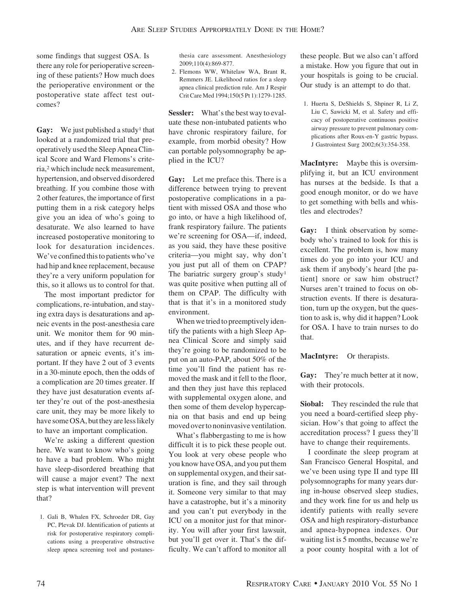some findings that suggest OSA. Is there any role for perioperative screening of these patients? How much does the perioperative environment or the postoperative state affect test outcomes?

Gay: We just published a study<sup>1</sup> that looked at a randomized trial that preoperatively used the Sleep Apnea Clinical Score and Ward Flemons's criteria,2 which include neck measurement, hypertension, and observed disordered breathing. If you combine those with 2 other features, the importance of first putting them in a risk category helps give you an idea of who's going to desaturate. We also learned to have increased postoperative monitoring to look for desaturation incidences. We've confined this to patients who've had hip and knee replacement, because they're a very uniform population for this, so it allows us to control for that.

The most important predictor for complications, re-intubation, and staying extra days is desaturations and apneic events in the post-anesthesia care unit. We monitor them for 90 minutes, and if they have recurrent desaturation or apneic events, it's important. If they have 2 out of 3 events in a 30-minute epoch, then the odds of a complication are 20 times greater. If they have just desaturation events after they're out of the post-anesthesia care unit, they may be more likely to have some OSA, but they are less likely to have an important complication.

We're asking a different question here. We want to know who's going to have a bad problem. Who might have sleep-disordered breathing that will cause a major event? The next step is what intervention will prevent that?

1. Gali B, Whalen FX, Schroeder DR, Gay PC, Plevak DJ. Identification of patients at risk for postoperative respiratory complications using a preoperative obstructive sleep apnea screening tool and postanesthesia care assessment. Anesthesiology 2009;110(4):869-877.

2. Flemons WW, Whitelaw WA, Brant R, Remmers JE. Likelihood ratios for a sleep apnea clinical prediction rule. Am J Respir Crit Care Med 1994;150(5 Pt 1):1279-1285.

**Sessler:** What's the best way to evaluate these non-intubated patients who have chronic respiratory failure, for example, from morbid obesity? How can portable polysomnography be applied in the ICU?

**Gay:** Let me preface this. There is a difference between trying to prevent postoperative complications in a patient with missed OSA and those who go into, or have a high likelihood of, frank respiratory failure. The patients we're screening for OSA—if, indeed, as you said, they have these positive criteria—you might say, why don't you just put all of them on CPAP? The bariatric surgery group's study<sup>1</sup> was quite positive when putting all of them on CPAP. The difficulty with that is that it's in a monitored study environment.

When we tried to preemptively identify the patients with a high Sleep Apnea Clinical Score and simply said they're going to be randomized to be put on an auto-PAP, about 50% of the time you'll find the patient has removed the mask and it fell to the floor, and then they just have this replaced with supplemental oxygen alone, and then some of them develop hypercapnia on that basis and end up being moved over to noninvasive ventilation.

What's flabbergasting to me is how difficult it is to pick these people out. You look at very obese people who you know have OSA, and you put them on supplemental oxygen, and their saturation is fine, and they sail through it. Someone very similar to that may have a catastrophe, but it's a minority and you can't put everybody in the ICU on a monitor just for that minority. You will after your first lawsuit, but you'll get over it. That's the difficulty. We can't afford to monitor all these people. But we also can't afford a mistake. How you figure that out in your hospitals is going to be crucial. Our study is an attempt to do that.

1. Huerta S, DeShields S, Shpiner R, Li Z, Liu C, Sawicki M, et al. Safety and efficacy of postoperative continuous positive airway pressure to prevent pulmonary complications after Roux-en-Y gastric bypass. J Gastrointest Surg 2002;6(3):354-358.

**MacIntyre:** Maybe this is oversimplifying it, but an ICU environment has nurses at the bedside. Is that a good enough monitor, or do we have to get something with bells and whistles and electrodes?

**Gay:** I think observation by somebody who's trained to look for this is excellent. The problem is, how many times do you go into your ICU and ask them if anybody's heard [the patient] snore or saw him obstruct? Nurses aren't trained to focus on obstruction events. If there is desaturation, turn up the oxygen, but the question to ask is, why did it happen? Look for OSA. I have to train nurses to do that.

**MacIntyre:** Or therapists.

**Gay:** They're much better at it now, with their protocols.

**Siobal:** They rescinded the rule that you need a board-certified sleep physician. How's that going to affect the accreditation process? I guess they'll have to change their requirements.

I coordinate the sleep program at San Francisco General Hospital, and we've been using type II and type III polysomnographs for many years during in-house observed sleep studies, and they work fine for us and help us identify patients with really severe OSA and high respiratory-disturbance and apnea-hypopnea indexes. Our waiting list is 5 months, because we're a poor county hospital with a lot of